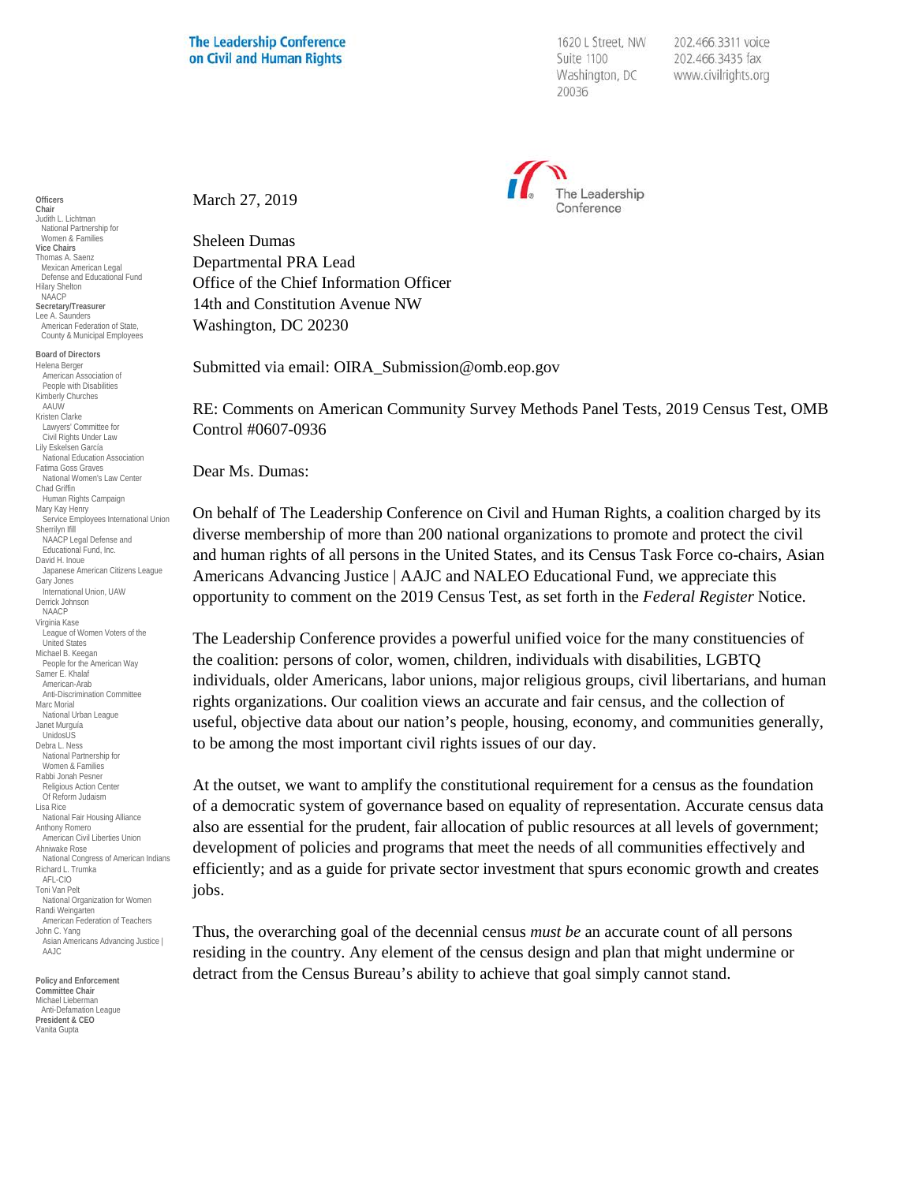1620 L Street, NW Suite 1100 Washington, DC 20036

202.466.3311 voice 202.466.3435 fax www.civilrights.org



March 27, 2019

Sheleen Dumas Departmental PRA Lead Office of the Chief Information Officer 14th and Constitution Avenue NW Washington, DC 20230

Submitted via email: OIRA\_Submission@omb.eop.gov

RE: Comments on American Community Survey Methods Panel Tests, 2019 Census Test, OMB Control #0607-0936

Dear Ms. Dumas:

On behalf of The Leadership Conference on Civil and Human Rights, a coalition charged by its diverse membership of more than 200 national organizations to promote and protect the civil and human rights of all persons in the United States, and its Census Task Force co-chairs, Asian Americans Advancing Justice | AAJC and NALEO Educational Fund, we appreciate this opportunity to comment on the 2019 Census Test, as set forth in the *Federal Register* Notice.

The Leadership Conference provides a powerful unified voice for the many constituencies of the coalition: persons of color, women, children, individuals with disabilities, LGBTQ individuals, older Americans, labor unions, major religious groups, civil libertarians, and human rights organizations. Our coalition views an accurate and fair census, and the collection of useful, objective data about our nation's people, housing, economy, and communities generally, to be among the most important civil rights issues of our day.

At the outset, we want to amplify the constitutional requirement for a census as the foundation of a democratic system of governance based on equality of representation. Accurate census data also are essential for the prudent, fair allocation of public resources at all levels of government; development of policies and programs that meet the needs of all communities effectively and efficiently; and as a guide for private sector investment that spurs economic growth and creates jobs.

Thus, the overarching goal of the decennial census *must be* an accurate count of all persons residing in the country. Any element of the census design and plan that might undermine or detract from the Census Bureau's ability to achieve that goal simply cannot stand.

**Officers Chair** Judith L. Lichtman National Partnership for Women & Families **Vice Chairs** Thomas A. Saenz Mexican American Legal Defense and Educational Fund Hilary Shelton NAACP **Secretary/Treasurer** Lee A. Saunders American Federation of State, County & Municipal Employees **Board of Directors** Helena Berger American Association of People with Disabilities Kimberly Churches AAUW

Kristen Clarke Lawyers' Committee for Civil Rights Under Law Lily Eskelsen García National Education Association Fatima Goss Graves National Women's Law Center Chad Griffin Human Rights Campaign Mary Kay Henry Service Employees International Union Sherrilyn Ifill NAACP Legal Defense and Educational Fund, Inc. David H. Inoue Japanese American Citizens League Gary Jones International Union, UAW Derrick Johnson NAACP Virginia Kase League of Women Voters of the United States Michael B. Keegan People for the American Way Samer E. Khalaf American-Arab Anti-Discrimination Committee Marc Morial National Urban League Janet Murguía UnidosUS Debra L. Ness National Partnership for Women & Families Rabbi Jonah Pesner Religious Action Center Of Reform Judaism Lisa Rice National Fair Housing Alliance Anthony Romero American Civil Liberties Union Ahniwake Rose National Congress of American Indians Richard L. Trumka AFL-CIO Toni Van Pelt National Organization for Women Randi Weingarten American Federation of Teachers John C. Yang Asian Americans Advancing Justice | AAJC

**Policy and Enforcement Committee Chair** Michael Lieberman ndriaci Eleberman<br>Anti-Defamation League **President & CEO** Vanita Gupta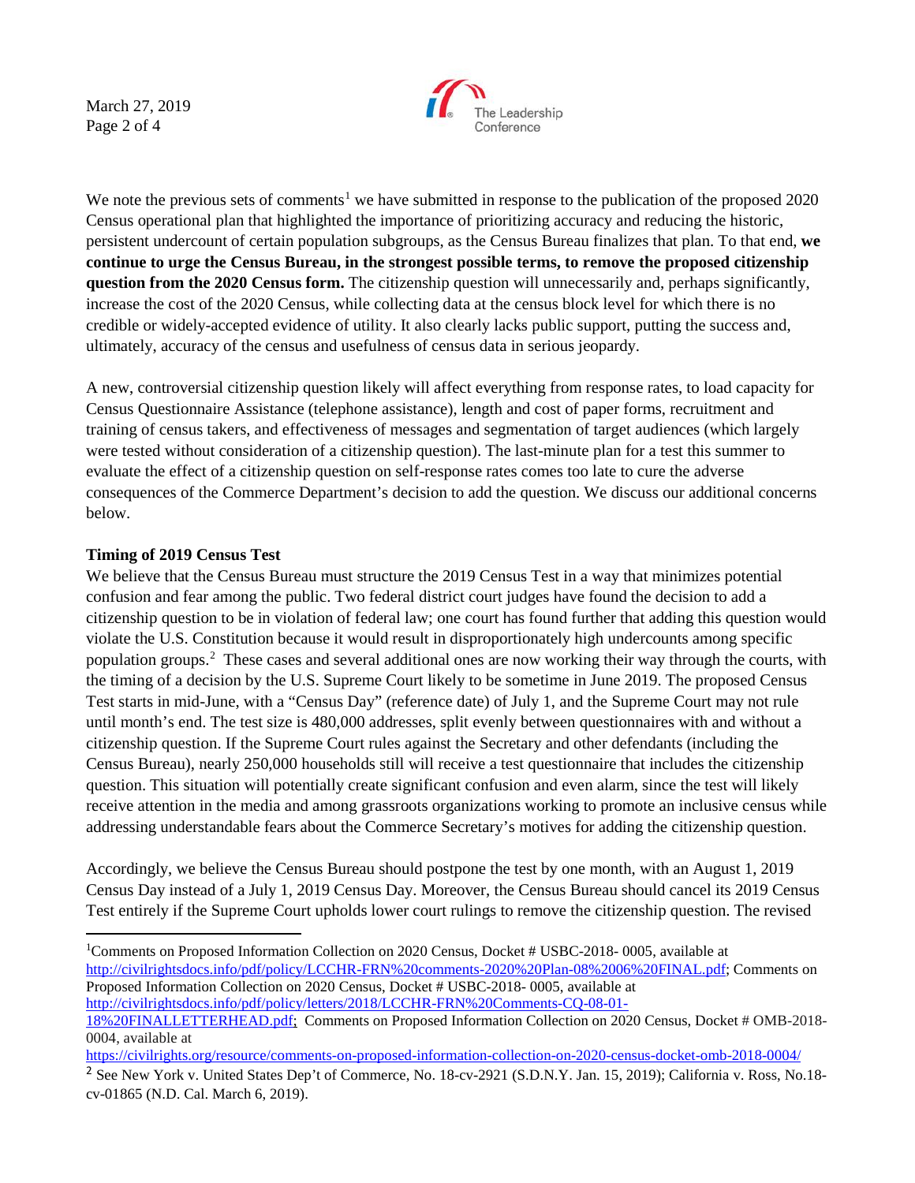March 27, 2019 Page 2 of 4



We note the previous sets of comments<sup>[1](#page-1-0)</sup> we have submitted in response to the publication of the proposed 2020 Census operational plan that highlighted the importance of prioritizing accuracy and reducing the historic, persistent undercount of certain population subgroups, as the Census Bureau finalizes that plan. To that end, **we continue to urge the Census Bureau, in the strongest possible terms, to remove the proposed citizenship question from the 2020 Census form.** The citizenship question will unnecessarily and, perhaps significantly, increase the cost of the 2020 Census, while collecting data at the census block level for which there is no credible or widely-accepted evidence of utility. It also clearly lacks public support, putting the success and, ultimately, accuracy of the census and usefulness of census data in serious jeopardy.

A new, controversial citizenship question likely will affect everything from response rates, to load capacity for Census Questionnaire Assistance (telephone assistance), length and cost of paper forms, recruitment and training of census takers, and effectiveness of messages and segmentation of target audiences (which largely were tested without consideration of a citizenship question). The last-minute plan for a test this summer to evaluate the effect of a citizenship question on self-response rates comes too late to cure the adverse consequences of the Commerce Department's decision to add the question. We discuss our additional concerns below.

## **Timing of 2019 Census Test**

We believe that the Census Bureau must structure the 2019 Census Test in a way that minimizes potential confusion and fear among the public. Two federal district court judges have found the decision to add a citizenship question to be in violation of federal law; one court has found further that adding this question would violate the U.S. Constitution because it would result in disproportionately high undercounts among specific population groups. [2](#page-1-1) These cases and several additional ones are now working their way through the courts, with the timing of a decision by the U.S. Supreme Court likely to be sometime in June 2019. The proposed Census Test starts in mid-June, with a "Census Day" (reference date) of July 1, and the Supreme Court may not rule until month's end. The test size is 480,000 addresses, split evenly between questionnaires with and without a citizenship question. If the Supreme Court rules against the Secretary and other defendants (including the Census Bureau), nearly 250,000 households still will receive a test questionnaire that includes the citizenship question. This situation will potentially create significant confusion and even alarm, since the test will likely receive attention in the media and among grassroots organizations working to promote an inclusive census while addressing understandable fears about the Commerce Secretary's motives for adding the citizenship question.

Accordingly, we believe the Census Bureau should postpone the test by one month, with an August 1, 2019 Census Day instead of a July 1, 2019 Census Day. Moreover, the Census Bureau should cancel its 2019 Census Test entirely if the Supreme Court upholds lower court rulings to remove the citizenship question. The revised

<span id="page-1-0"></span> $\frac{1}{1}$ <sup>1</sup>Comments on Proposed Information Collection on 2020 Census, Docket # USBC-2018- 0005, available at [http://civilrightsdocs.info/pdf/policy/LCCHR-FRN%20comments-2020%20Plan-08%2006%20FINAL.pdf;](http://civilrightsdocs.info/pdf/policy/LCCHR-FRN%20comments-2020%20Plan-08%2006%20FINAL.pdf) Comments on Proposed Information Collection on 2020 Census, Docket # USBC-2018- 0005, available at [http://civilrightsdocs.info/pdf/policy/letters/2018/LCCHR-FRN%20Comments-CQ-08-01-](http://civilrightsdocs.info/pdf/policy/letters/2018/LCCHR-FRN%20Comments-CQ-08-01-18%20FINALLETTERHEAD.pdf)

[<sup>18%20</sup>FINALLETTERHEAD.pdf;](http://civilrightsdocs.info/pdf/policy/letters/2018/LCCHR-FRN%20Comments-CQ-08-01-18%20FINALLETTERHEAD.pdf) Comments on Proposed Information Collection on 2020 Census, Docket # OMB-2018- 0004, available at

<https://civilrights.org/resource/comments-on-proposed-information-collection-on-2020-census-docket-omb-2018-0004/>

<span id="page-1-1"></span><sup>&</sup>lt;sup>2</sup> See New York v. United States Dep't of Commerce, No. 18-cv-2921 (S.D.N.Y. Jan. 15, 2019); California v. Ross, No.18cv-01865 (N.D. Cal. March 6, 2019).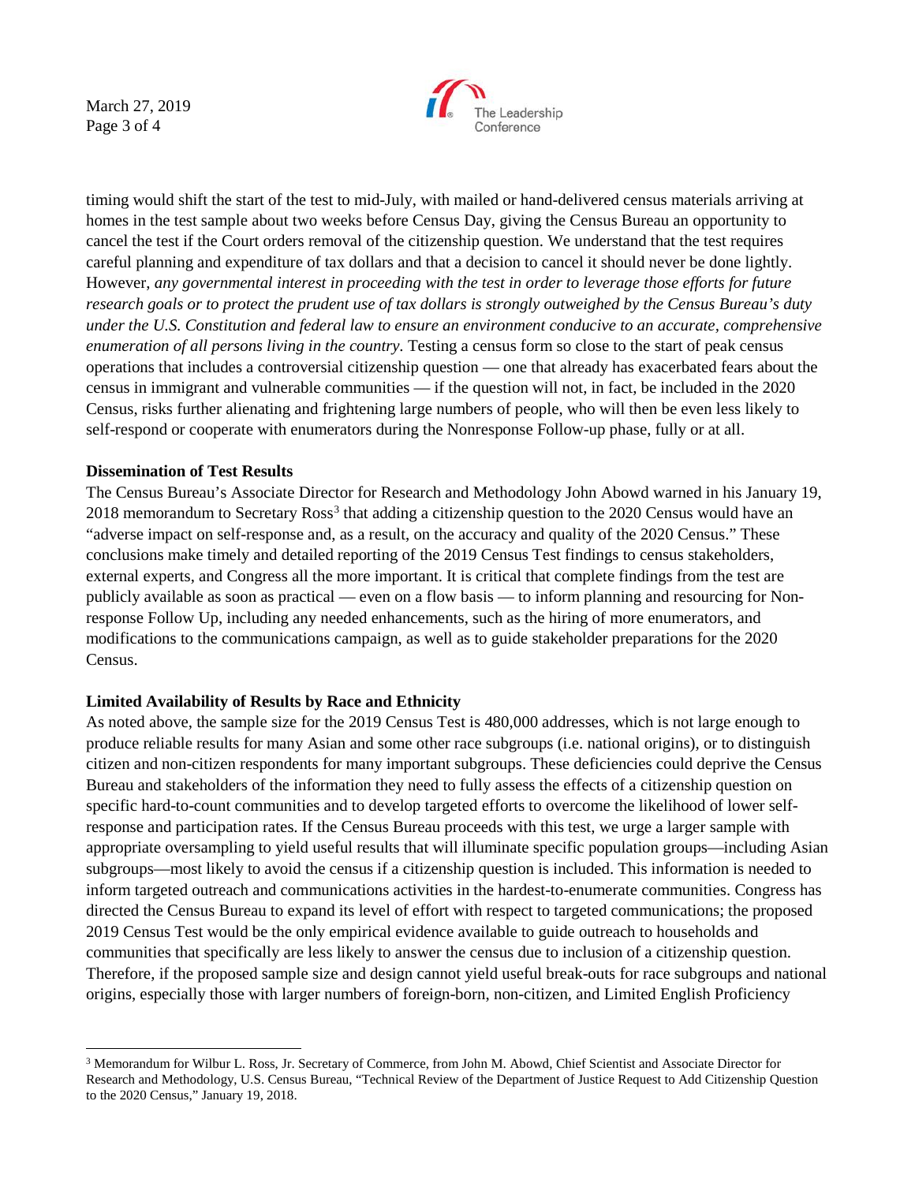March 27, 2019 Page 3 of 4



timing would shift the start of the test to mid-July, with mailed or hand-delivered census materials arriving at homes in the test sample about two weeks before Census Day, giving the Census Bureau an opportunity to cancel the test if the Court orders removal of the citizenship question. We understand that the test requires careful planning and expenditure of tax dollars and that a decision to cancel it should never be done lightly. However, *any governmental interest in proceeding with the test in order to leverage those efforts for future research goals or to protect the prudent use of tax dollars is strongly outweighed by the Census Bureau's duty under the U.S. Constitution and federal law to ensure an environment conducive to an accurate, comprehensive enumeration of all persons living in the country.* Testing a census form so close to the start of peak census operations that includes a controversial citizenship question — one that already has exacerbated fears about the census in immigrant and vulnerable communities — if the question will not, in fact, be included in the 2020 Census, risks further alienating and frightening large numbers of people, who will then be even less likely to self-respond or cooperate with enumerators during the Nonresponse Follow-up phase, fully or at all.

## **Dissemination of Test Results**

The Census Bureau's Associate Director for Research and Methodology John Abowd warned in his January 19, 2018 memorandum to Secretary Ross<sup>[3](#page-2-0)</sup> that adding a citizenship question to the 2020 Census would have an "adverse impact on self-response and, as a result, on the accuracy and quality of the 2020 Census." These conclusions make timely and detailed reporting of the 2019 Census Test findings to census stakeholders, external experts, and Congress all the more important. It is critical that complete findings from the test are publicly available as soon as practical — even on a flow basis — to inform planning and resourcing for Nonresponse Follow Up, including any needed enhancements, such as the hiring of more enumerators, and modifications to the communications campaign, as well as to guide stakeholder preparations for the 2020 Census.

## **Limited Availability of Results by Race and Ethnicity**

As noted above, the sample size for the 2019 Census Test is 480,000 addresses, which is not large enough to produce reliable results for many Asian and some other race subgroups (i.e. national origins), or to distinguish citizen and non-citizen respondents for many important subgroups. These deficiencies could deprive the Census Bureau and stakeholders of the information they need to fully assess the effects of a citizenship question on specific hard-to-count communities and to develop targeted efforts to overcome the likelihood of lower selfresponse and participation rates. If the Census Bureau proceeds with this test, we urge a larger sample with appropriate oversampling to yield useful results that will illuminate specific population groups—including Asian subgroups—most likely to avoid the census if a citizenship question is included. This information is needed to inform targeted outreach and communications activities in the hardest-to-enumerate communities. Congress has directed the Census Bureau to expand its level of effort with respect to targeted communications; the proposed 2019 Census Test would be the only empirical evidence available to guide outreach to households and communities that specifically are less likely to answer the census due to inclusion of a citizenship question. Therefore, if the proposed sample size and design cannot yield useful break-outs for race subgroups and national origins, especially those with larger numbers of foreign-born, non-citizen, and Limited English Proficiency

<span id="page-2-0"></span> <sup>3</sup> Memorandum for Wilbur L. Ross, Jr. Secretary of Commerce, from John M. Abowd, Chief Scientist and Associate Director for Research and Methodology, U.S. Census Bureau, "Technical Review of the Department of Justice Request to Add Citizenship Question to the 2020 Census," January 19, 2018.